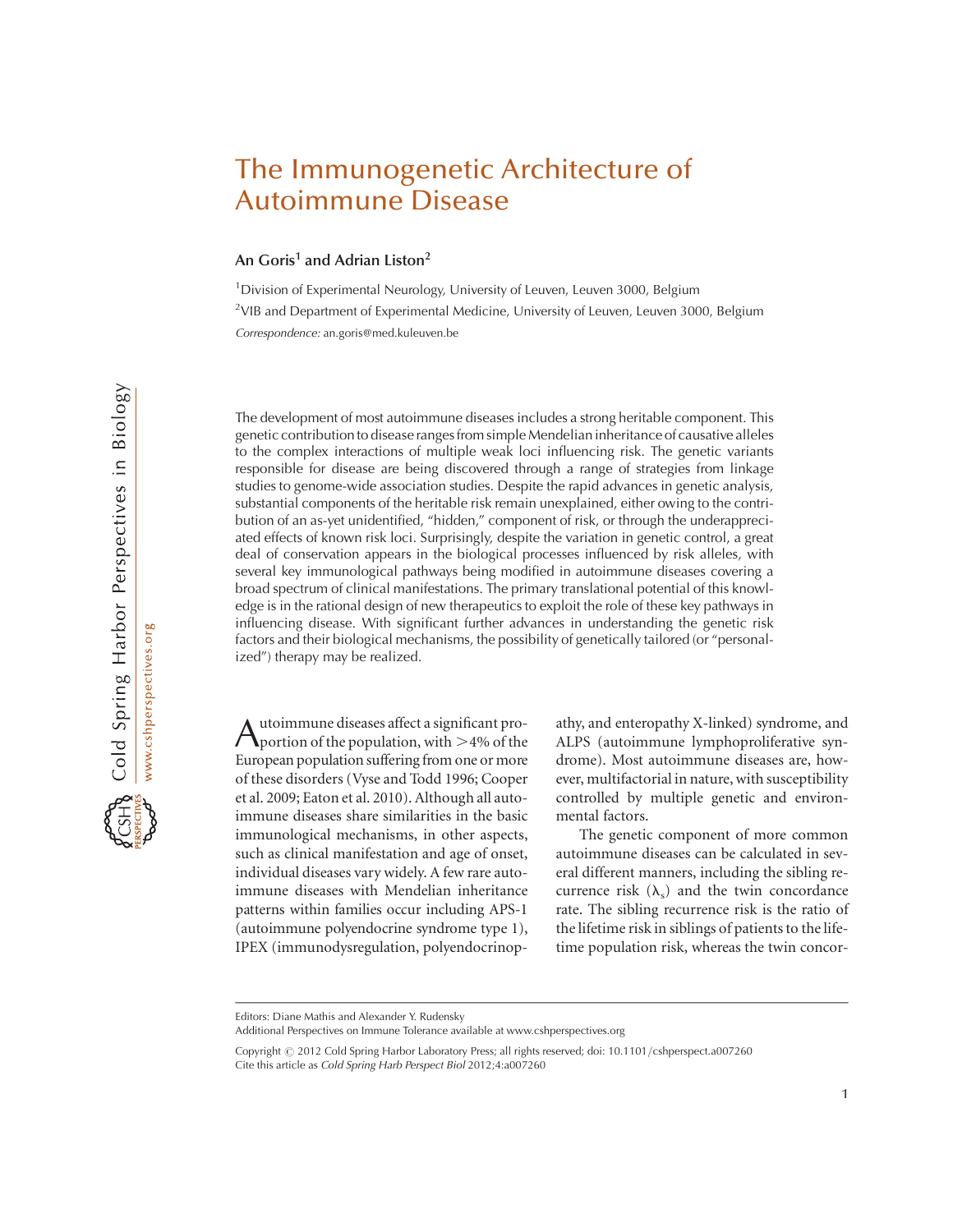# The Immunogenetic Architecture of Autoimmune Disease

# An Goris<sup>1</sup> and Adrian Liston<sup>2</sup>

<sup>1</sup>Division of Experimental Neurology, University of Leuven, Leuven 3000, Belgium <sup>2</sup>VIB and Department of Experimental Medicine, University of Leuven, Leuven 3000, Belgium Correspondence: an.goris@med.kuleuven.be

The development of most autoimmune diseases includes a strong heritable component. This genetic contribution to disease ranges from simple Mendelian inheritance of causative alleles to the complex interactions of multiple weak loci influencing risk. The genetic variants responsible for disease are being discovered through a range of strategies from linkage studies to genome-wide association studies. Despite the rapid advances in genetic analysis, substantial components of the heritable risk remain unexplained, either owing to the contribution of an as-yet unidentified, "hidden," component of risk, or through the underappreciated effects of known risk loci. Surprisingly, despite the variation in genetic control, a great deal of conservation appears in the biological processes influenced by risk alleles, with several key immunological pathways being modified in autoimmune diseases covering a broad spectrum of clinical manifestations. The primary translational potential of this knowledge is in the rational design of new therapeutics to exploit the role of these key pathways in influencing disease. With significant further advances in understanding the genetic risk factors and their biological mechanisms, the possibility of genetically tailored (or "personalized") therapy may be realized.

Autoimmune diseases affect a significant pro-<br>portion of the population, with  $>4\%$  of the European population suffering from one or more of these disorders (Vyse and Todd 1996; Cooper et al. 2009; Eaton et al. 2010). Although all autoimmune diseases share similarities in the basic immunological mechanisms, in other aspects, such as clinical manifestation and age of onset, individual diseases vary widely. A few rare autoimmune diseases with Mendelian inheritance patterns within families occur including APS-1 (autoimmune polyendocrine syndrome type 1), IPEX (immunodysregulation, polyendocrinopathy, and enteropathy X-linked) syndrome, and ALPS (autoimmune lymphoproliferative syndrome). Most autoimmune diseases are, however, multifactorial in nature, with susceptibility controlled by multiple genetic and environmental factors.

The genetic component of more common autoimmune diseases can be calculated in several different manners, including the sibling recurrence risk  $(\lambda_s)$  and the twin concordance rate. The sibling recurrence risk is the ratio of the lifetime risk in siblings of patients to the lifetime population risk, whereas the twin concor-

Editors: Diane Mathis and Alexander Y. Rudensky

Additional Perspectives on Immune Tolerance available at www.cshperspectives.org

Copyright @ 2012 Cold Spring Harbor Laboratory Press; all rights reserved; doi: 10.1101/cshperspect.a007260 Cite this article as Cold Spring Harb Perspect Biol 2012;4:a007260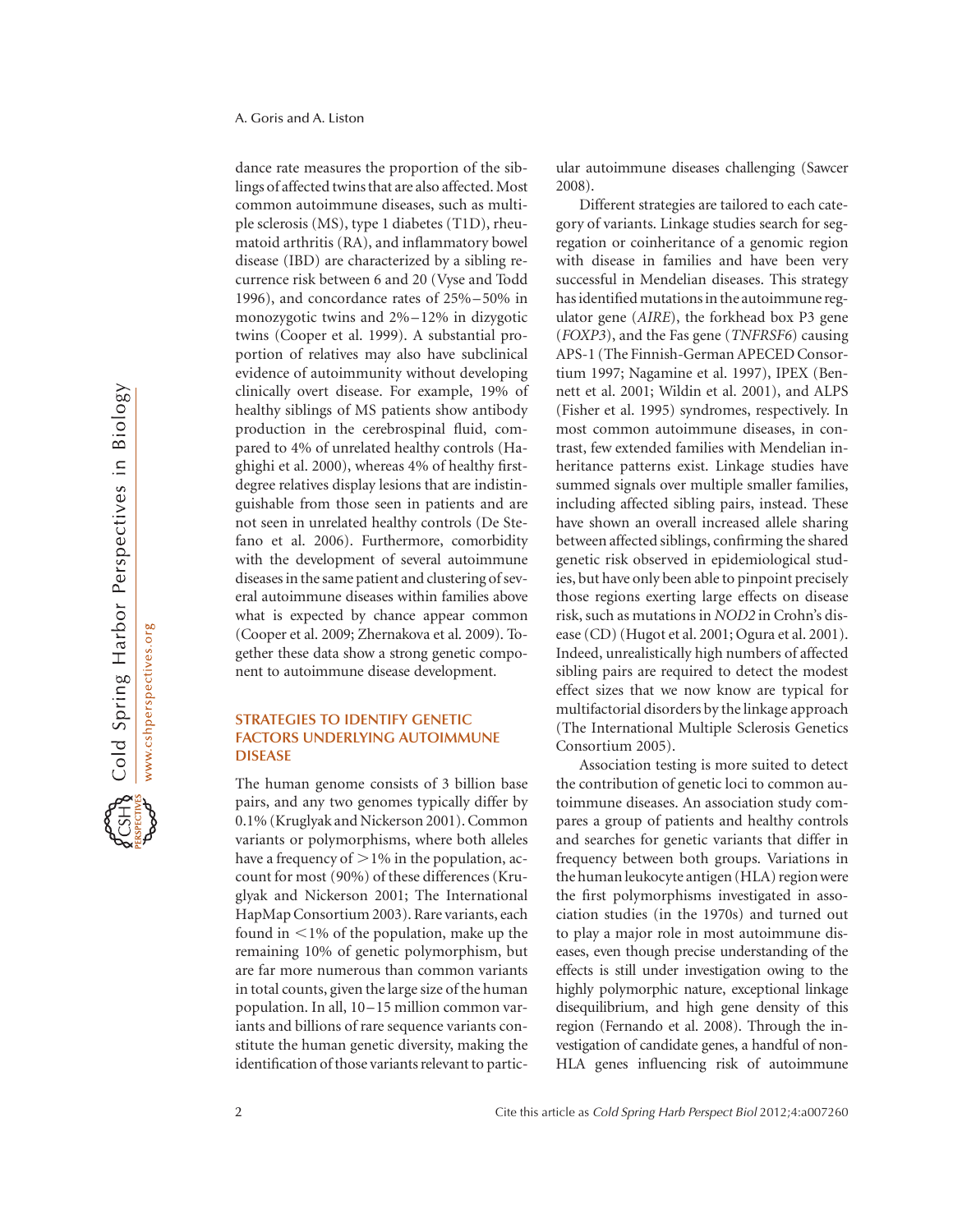dance rate measures the proportion of the siblings of affected twins that are also affected. Most common autoimmune diseases, such as multiple sclerosis (MS), type 1 diabetes (T1D), rheumatoid arthritis (RA), and inflammatory bowel disease (IBD) are characterized by a sibling recurrence risk between 6 and 20 (Vyse and Todd 1996), and concordance rates of 25% –50% in monozygotic twins and  $2\% - 12\%$  in dizygotic twins (Cooper et al. 1999). A substantial proportion of relatives may also have subclinical evidence of autoimmunity without developing clinically overt disease. For example, 19% of healthy siblings of MS patients show antibody production in the cerebrospinal fluid, compared to 4% of unrelated healthy controls (Haghighi et al. 2000), whereas 4% of healthy firstdegree relatives display lesions that are indistinguishable from those seen in patients and are not seen in unrelated healthy controls (De Stefano et al. 2006). Furthermore, comorbidity with the development of several autoimmune diseases in the same patient and clustering of several autoimmune diseases within families above what is expected by chance appear common (Cooper et al. 2009; Zhernakova et al. 2009). Together these data show a strong genetic component to autoimmune disease development.

# STRATEGIES TO IDENTIFY GENETIC FACTORS UNDERLYING AUTOIMMUNE DISEASE

The human genome consists of 3 billion base pairs, and any two genomes typically differ by 0.1% (Kruglyak and Nickerson 2001). Common variants or polymorphisms, where both alleles have a frequency of  $>1\%$  in the population, account for most (90%) of these differences (Kruglyak and Nickerson 2001; The International HapMap Consortium 2003). Rare variants, each found in  $\leq$ 1% of the population, make up the remaining 10% of genetic polymorphism, but are far more numerous than common variants in total counts, given the large size of the human population. In all, 10 –15 million common variants and billions of rare sequence variants constitute the human genetic diversity, making the identification of those variants relevant to particular autoimmune diseases challenging (Sawcer 2008).

Different strategies are tailored to each category of variants. Linkage studies search for segregation or coinheritance of a genomic region with disease in families and have been very successful in Mendelian diseases. This strategy has identified mutations in the autoimmune regulator gene (AIRE), the forkhead box P3 gene (FOXP3), and the Fas gene (TNFRSF6) causing APS-1 (The Finnish-German APECED Consortium 1997; Nagamine et al. 1997), IPEX (Bennett et al. 2001; Wildin et al. 2001), and ALPS (Fisher et al. 1995) syndromes, respectively. In most common autoimmune diseases, in contrast, few extended families with Mendelian inheritance patterns exist. Linkage studies have summed signals over multiple smaller families, including affected sibling pairs, instead. These have shown an overall increased allele sharing between affected siblings, confirming the shared genetic risk observed in epidemiological studies, but have only been able to pinpoint precisely those regions exerting large effects on disease risk, such as mutations in NOD2 in Crohn's disease (CD) (Hugot et al. 2001; Ogura et al. 2001). Indeed, unrealistically high numbers of affected sibling pairs are required to detect the modest effect sizes that we now know are typical for multifactorial disorders by the linkage approach (The International Multiple Sclerosis Genetics Consortium 2005).

Association testing is more suited to detect the contribution of genetic loci to common autoimmune diseases. An association study compares a group of patients and healthy controls and searches for genetic variants that differ in frequency between both groups. Variations in the human leukocyte antigen (HLA) regionwere the first polymorphisms investigated in association studies (in the 1970s) and turned out to play a major role in most autoimmune diseases, even though precise understanding of the effects is still under investigation owing to the highly polymorphic nature, exceptional linkage disequilibrium, and high gene density of this region (Fernando et al. 2008). Through the investigation of candidate genes, a handful of non-HLA genes influencing risk of autoimmune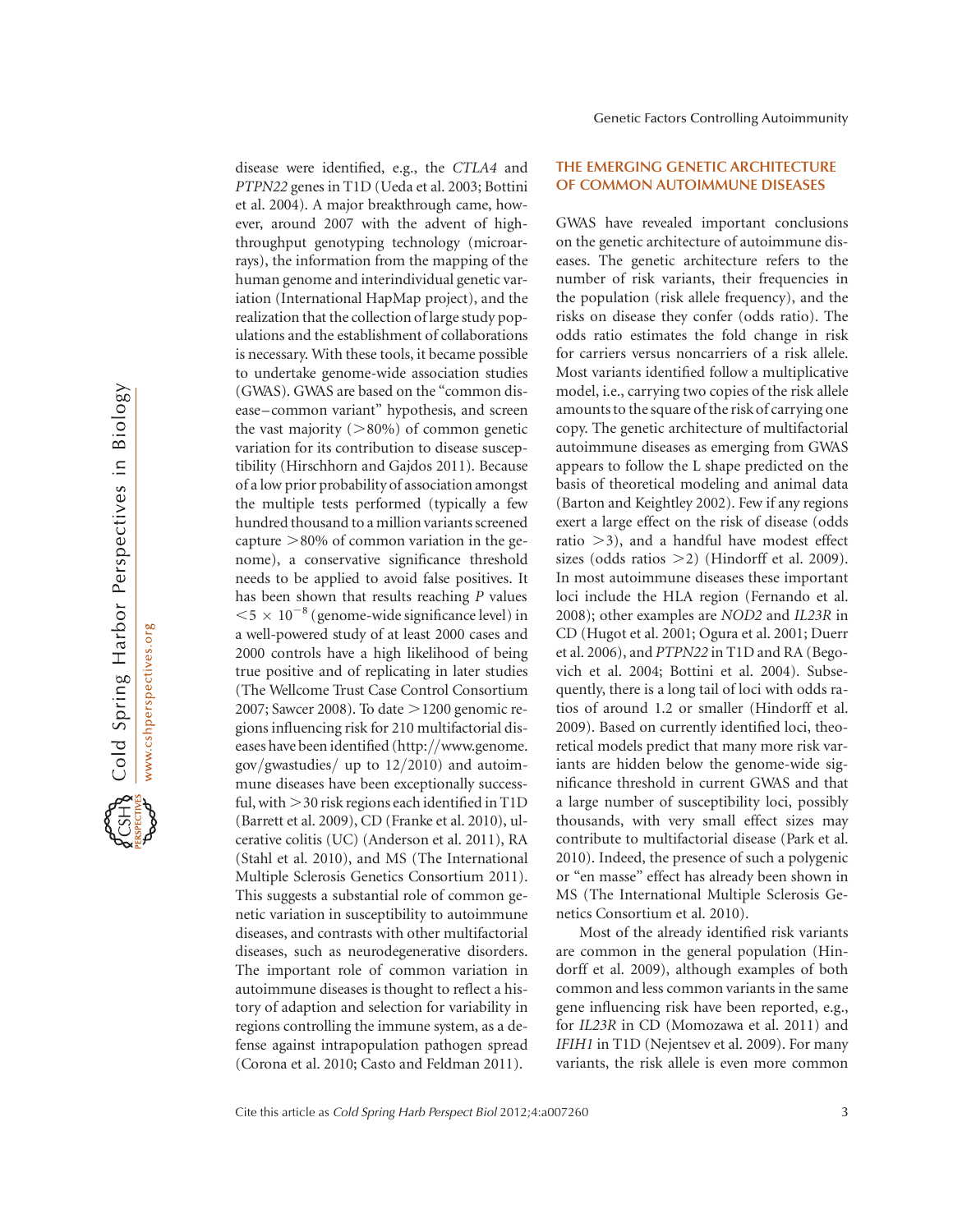disease were identified, e.g., the CTLA4 and PTPN22 genes in T1D (Ueda et al. 2003; Bottini et al. 2004). A major breakthrough came, however, around 2007 with the advent of highthroughput genotyping technology (microarrays), the information from the mapping of the human genome and interindividual genetic variation (International HapMap project), and the realization that the collection of large study populations and the establishment of collaborations is necessary. With these tools, it became possible to undertake genome-wide association studies (GWAS). GWAS are based on the "common disease–common variant" hypothesis, and screen the vast majority  $(>80\%)$  of common genetic variation for its contribution to disease susceptibility (Hirschhorn and Gajdos 2011). Because of a low prior probability of association amongst the multiple tests performed (typically a few hundred thousand to a million variants screened capture  $>80\%$  of common variation in the genome), a conservative significance threshold needs to be applied to avoid false positives. It has been shown that results reaching P values  $<$  5  $\times$  10<sup>-8</sup> (genome-wide significance level) in a well-powered study of at least 2000 cases and 2000 controls have a high likelihood of being true positive and of replicating in later studies (The Wellcome Trust Case Control Consortium 2007; Sawcer 2008). To date  $>1200$  genomic regions influencing risk for 210 multifactorial diseases have been identified (http://www.genome. gov/gwastudies/ up to 12/2010) and autoimmune diseases have been exceptionally successful, with  $>$  30 risk regions each identified in T1D (Barrett et al. 2009), CD (Franke et al. 2010), ulcerative colitis (UC) (Anderson et al. 2011), RA (Stahl et al. 2010), and MS (The International Multiple Sclerosis Genetics Consortium 2011). This suggests a substantial role of common genetic variation in susceptibility to autoimmune diseases, and contrasts with other multifactorial diseases, such as neurodegenerative disorders. The important role of common variation in autoimmune diseases is thought to reflect a history of adaption and selection for variability in regions controlling the immune system, as a defense against intrapopulation pathogen spread (Corona et al. 2010; Casto and Feldman 2011).

# THE EMERGING GENETIC ARCHITECTURE OF COMMON AUTOIMMUNE DISEASES

GWAS have revealed important conclusions on the genetic architecture of autoimmune diseases. The genetic architecture refers to the number of risk variants, their frequencies in the population (risk allele frequency), and the risks on disease they confer (odds ratio). The odds ratio estimates the fold change in risk for carriers versus noncarriers of a risk allele. Most variants identified follow a multiplicative model, i.e., carrying two copies of the risk allele amounts to the square of the risk of carrying one copy. The genetic architecture of multifactorial autoimmune diseases as emerging from GWAS appears to follow the L shape predicted on the basis of theoretical modeling and animal data (Barton and Keightley 2002). Few if any regions exert a large effect on the risk of disease (odds ratio  $>3$ ), and a handful have modest effect sizes (odds ratios  $>2$ ) (Hindorff et al. 2009). In most autoimmune diseases these important loci include the HLA region (Fernando et al. 2008); other examples are NOD2 and IL23R in CD (Hugot et al. 2001; Ogura et al. 2001; Duerr et al. 2006), and PTPN22 in T1D and RA (Begovich et al. 2004; Bottini et al. 2004). Subsequently, there is a long tail of loci with odds ratios of around 1.2 or smaller (Hindorff et al. 2009). Based on currently identified loci, theoretical models predict that many more risk variants are hidden below the genome-wide significance threshold in current GWAS and that a large number of susceptibility loci, possibly thousands, with very small effect sizes may contribute to multifactorial disease (Park et al. 2010). Indeed, the presence of such a polygenic or "en masse" effect has already been shown in MS (The International Multiple Sclerosis Genetics Consortium et al. 2010).

Most of the already identified risk variants are common in the general population (Hindorff et al. 2009), although examples of both common and less common variants in the same gene influencing risk have been reported, e.g., for IL23R in CD (Momozawa et al. 2011) and IFIH1 in T1D (Nejentsev et al. 2009). For many variants, the risk allele is even more common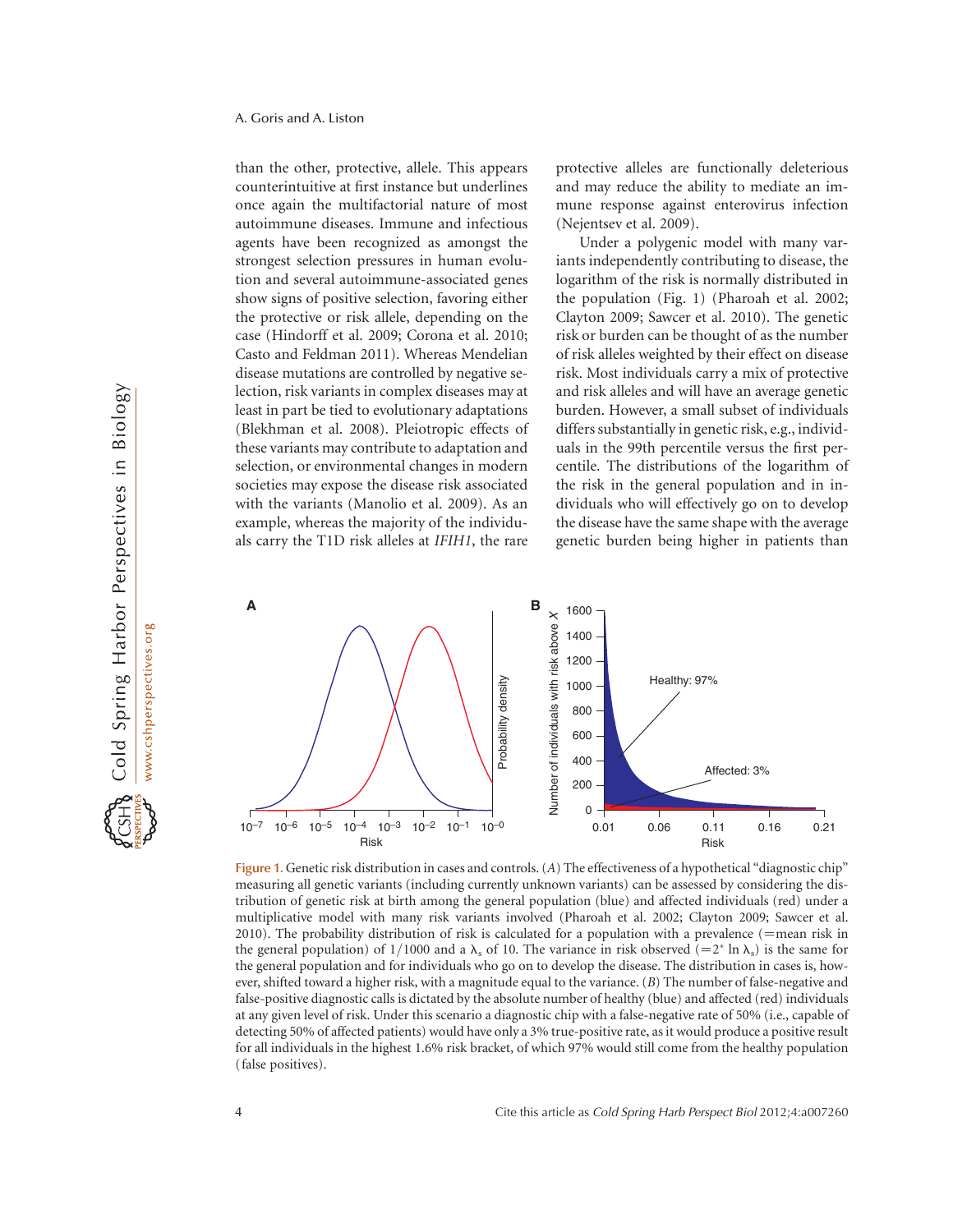than the other, protective, allele. This appears counterintuitive at first instance but underlines once again the multifactorial nature of most autoimmune diseases. Immune and infectious agents have been recognized as amongst the strongest selection pressures in human evolution and several autoimmune-associated genes show signs of positive selection, favoring either the protective or risk allele, depending on the case (Hindorff et al. 2009; Corona et al. 2010; Casto and Feldman 2011). Whereas Mendelian disease mutations are controlled by negative selection, risk variants in complex diseases may at least in part be tied to evolutionary adaptations (Blekhman et al. 2008). Pleiotropic effects of these variants may contribute to adaptation and selection, or environmental changes in modern societies may expose the disease risk associated with the variants (Manolio et al. 2009). As an example, whereas the majority of the individuals carry the T1D risk alleles at IFIH1, the rare

protective alleles are functionally deleterious and may reduce the ability to mediate an immune response against enterovirus infection (Nejentsev et al. 2009).

Under a polygenic model with many variants independently contributing to disease, the logarithm of the risk is normally distributed in the population (Fig. 1) (Pharoah et al. 2002; Clayton 2009; Sawcer et al. 2010). The genetic risk or burden can be thought of as the number of risk alleles weighted by their effect on disease risk. Most individuals carry a mix of protective and risk alleles and will have an average genetic burden. However, a small subset of individuals differs substantially in genetic risk, e.g., individuals in the 99th percentile versus the first percentile. The distributions of the logarithm of the risk in the general population and in individuals who will effectively go on to develop the disease have the same shape with the average genetic burden being higher in patients than



Figure 1.Genetic risk distribution in cases and controls. (A) The effectiveness of a hypothetical "diagnostic chip" measuring all genetic variants (including currently unknown variants) can be assessed by considering the distribution of genetic risk at birth among the general population (blue) and affected individuals (red) under a multiplicative model with many risk variants involved (Pharoah et al. 2002; Clayton 2009; Sawcer et al. 2010). The probability distribution of risk is calculated for a population with a prevalence (=mean risk in the general population) of 1/1000 and a  $\lambda_s$  of 10. The variance in risk observed (=2<sup>\*</sup> ln  $\lambda_s$ ) is the same for the general population and for individuals who go on to develop the disease. The distribution in cases is, however, shifted toward a higher risk, with a magnitude equal to the variance. (B) The number of false-negative and false-positive diagnostic calls is dictated by the absolute number of healthy (blue) and affected (red) individuals at any given level of risk. Under this scenario a diagnostic chip with a false-negative rate of 50% (i.e., capable of detecting 50% of affected patients) would have only a 3% true-positive rate, as it would produce a positive result for all individuals in the highest 1.6% risk bracket, of which 97% would still come from the healthy population (false positives).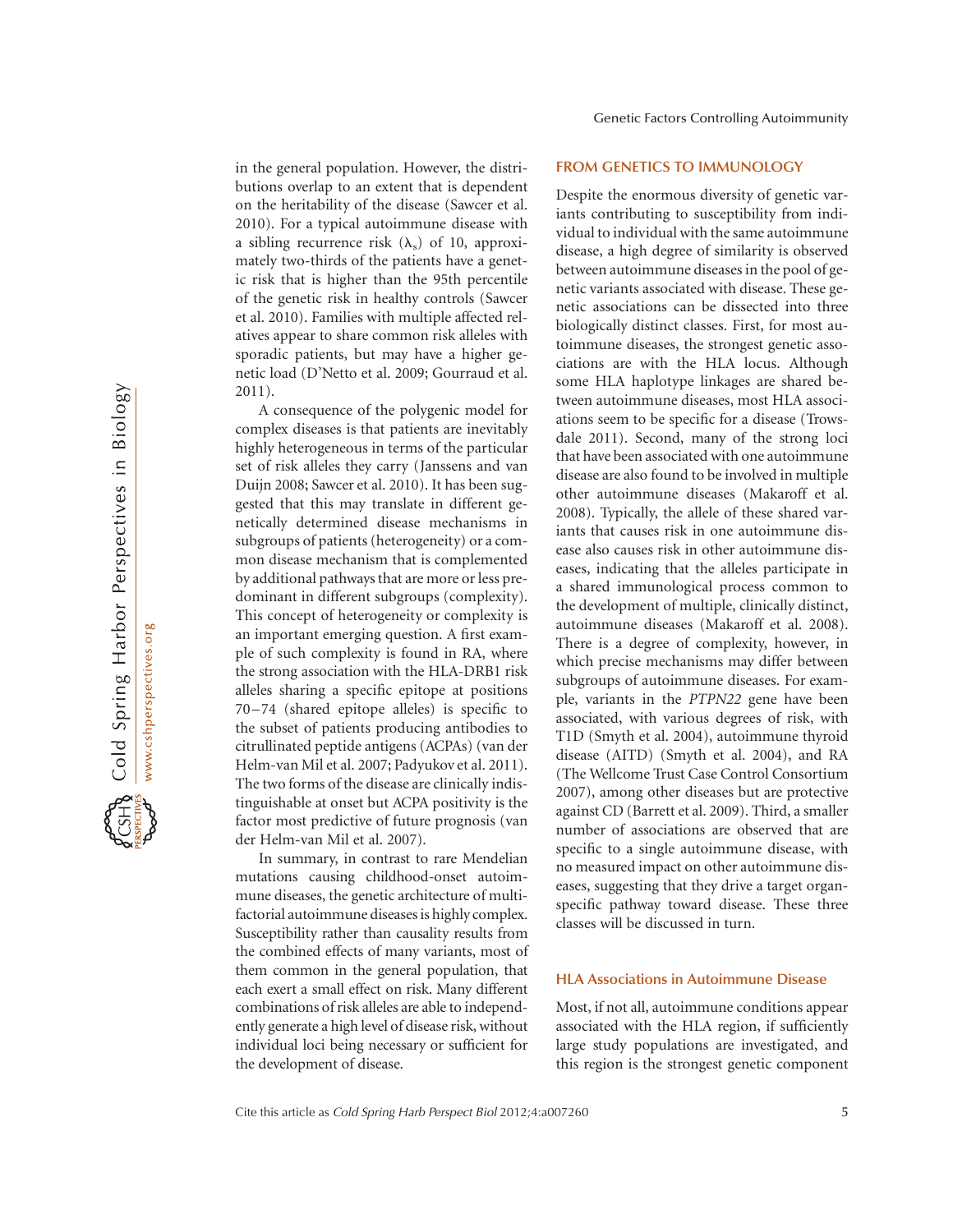in the general population. However, the distributions overlap to an extent that is dependent on the heritability of the disease (Sawcer et al. 2010). For a typical autoimmune disease with a sibling recurrence risk  $(\lambda_s)$  of 10, approximately two-thirds of the patients have a genetic risk that is higher than the 95th percentile of the genetic risk in healthy controls (Sawcer et al. 2010). Families with multiple affected relatives appear to share common risk alleles with sporadic patients, but may have a higher genetic load (D'Netto et al. 2009; Gourraud et al. 2011).

A consequence of the polygenic model for complex diseases is that patients are inevitably highly heterogeneous in terms of the particular set of risk alleles they carry (Janssens and van Duijn 2008; Sawcer et al. 2010). It has been suggested that this may translate in different genetically determined disease mechanisms in subgroups of patients (heterogeneity) or a common disease mechanism that is complemented by additional pathways that are more or less predominant in different subgroups (complexity). This concept of heterogeneity or complexity is an important emerging question. A first example of such complexity is found in RA, where the strong association with the HLA-DRB1 risk alleles sharing a specific epitope at positions 70 –74 (shared epitope alleles) is specific to the subset of patients producing antibodies to citrullinated peptide antigens (ACPAs) (van der Helm-van Mil et al. 2007; Padyukov et al. 2011). The two forms of the disease are clinically indistinguishable at onset but ACPA positivity is the factor most predictive of future prognosis (van der Helm-van Mil et al. 2007).

In summary, in contrast to rare Mendelian mutations causing childhood-onset autoimmune diseases, the genetic architecture of multifactorial autoimmune diseases is highly complex. Susceptibility rather than causality results from the combined effects of many variants, most of them common in the general population, that each exert a small effect on risk. Many different combinations of risk alleles are able to independently generate a high level of disease risk, without individual loci being necessary or sufficient for the development of disease.

Genetic Factors Controlling Autoimmunity

## FROM GENETICS TO IMMUNOLOGY

Despite the enormous diversity of genetic variants contributing to susceptibility from individual to individual with the same autoimmune disease, a high degree of similarity is observed between autoimmune diseases in the pool of genetic variants associated with disease. These genetic associations can be dissected into three biologically distinct classes. First, for most autoimmune diseases, the strongest genetic associations are with the HLA locus. Although some HLA haplotype linkages are shared between autoimmune diseases, most HLA associations seem to be specific for a disease (Trowsdale 2011). Second, many of the strong loci that have been associated with one autoimmune disease are also found to be involved in multiple other autoimmune diseases (Makaroff et al. 2008). Typically, the allele of these shared variants that causes risk in one autoimmune disease also causes risk in other autoimmune diseases, indicating that the alleles participate in a shared immunological process common to the development of multiple, clinically distinct, autoimmune diseases (Makaroff et al. 2008). There is a degree of complexity, however, in which precise mechanisms may differ between subgroups of autoimmune diseases. For example, variants in the PTPN22 gene have been associated, with various degrees of risk, with T1D (Smyth et al. 2004), autoimmune thyroid disease (AITD) (Smyth et al. 2004), and RA (The Wellcome Trust Case Control Consortium 2007), among other diseases but are protective against CD (Barrett et al. 2009). Third, a smaller number of associations are observed that are specific to a single autoimmune disease, with no measured impact on other autoimmune diseases, suggesting that they drive a target organspecific pathway toward disease. These three classes will be discussed in turn.

# HLA Associations in Autoimmune Disease

Most, if not all, autoimmune conditions appear associated with the HLA region, if sufficiently large study populations are investigated, and this region is the strongest genetic component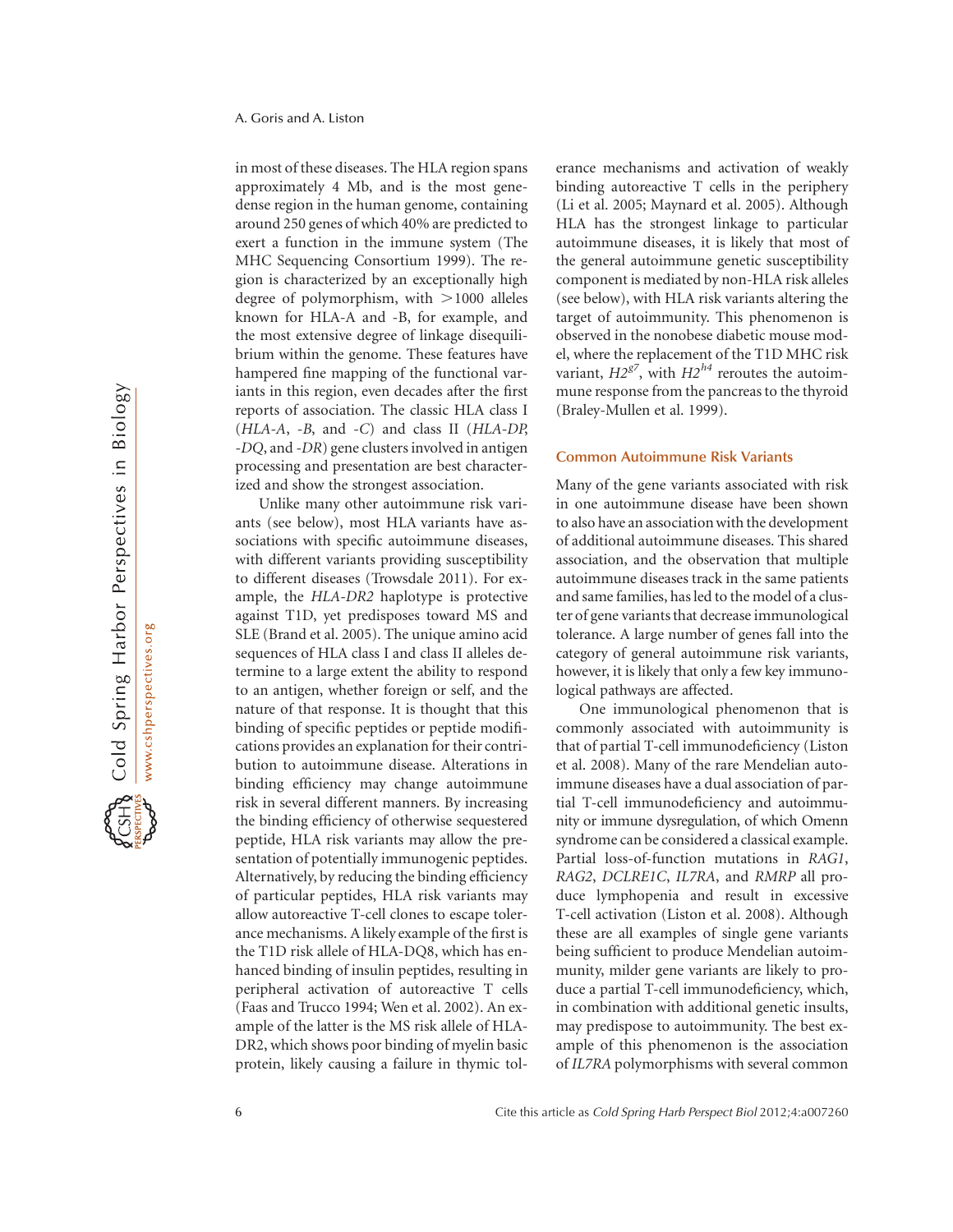in most of these diseases. The HLA region spans approximately 4 Mb, and is the most genedense region in the human genome, containing around 250 genes of which 40% are predicted to exert a function in the immune system (The MHC Sequencing Consortium 1999). The region is characterized by an exceptionally high degree of polymorphism, with  $>1000$  alleles known for HLA-A and -B, for example, and the most extensive degree of linkage disequilibrium within the genome. These features have hampered fine mapping of the functional variants in this region, even decades after the first reports of association. The classic HLA class I (HLA-A, -B, and -C) and class II (HLA-DP, -DQ, and -DR) gene clusters involved in antigen processing and presentation are best characterized and show the strongest association.

Unlike many other autoimmune risk variants (see below), most HLA variants have associations with specific autoimmune diseases, with different variants providing susceptibility to different diseases (Trowsdale 2011). For example, the HLA-DR2 haplotype is protective against T1D, yet predisposes toward MS and SLE (Brand et al. 2005). The unique amino acid sequences of HLA class I and class II alleles determine to a large extent the ability to respond to an antigen, whether foreign or self, and the nature of that response. It is thought that this binding of specific peptides or peptide modifications provides an explanation for their contribution to autoimmune disease. Alterations in binding efficiency may change autoimmune risk in several different manners. By increasing the binding efficiency of otherwise sequestered peptide, HLA risk variants may allow the presentation of potentially immunogenic peptides. Alternatively, by reducing the binding efficiency of particular peptides, HLA risk variants may allow autoreactive T-cell clones to escape tolerance mechanisms. A likely example of the first is the T1D risk allele of HLA-DQ8, which has enhanced binding of insulin peptides, resulting in peripheral activation of autoreactive T cells (Faas and Trucco 1994; Wen et al. 2002). An example of the latter is the MS risk allele of HLA-DR2, which shows poor binding of myelin basic protein, likely causing a failure in thymic tolerance mechanisms and activation of weakly binding autoreactive T cells in the periphery (Li et al. 2005; Maynard et al. 2005). Although HLA has the strongest linkage to particular autoimmune diseases, it is likely that most of the general autoimmune genetic susceptibility component is mediated by non-HLA risk alleles (see below), with HLA risk variants altering the target of autoimmunity. This phenomenon is observed in the nonobese diabetic mouse model, where the replacement of the T1D MHC risk variant,  $H2^{g7}$ , with  $H2^{h4}$  reroutes the autoimmune response from the pancreas to the thyroid (Braley-Mullen et al. 1999).

#### Common Autoimmune Risk Variants

Many of the gene variants associated with risk in one autoimmune disease have been shown to also have an associationwith the development of additional autoimmune diseases. This shared association, and the observation that multiple autoimmune diseases track in the same patients and same families, has led to the model of a cluster of gene variants that decrease immunological tolerance. A large number of genes fall into the category of general autoimmune risk variants, however, it is likely that only a few key immunological pathways are affected.

One immunological phenomenon that is commonly associated with autoimmunity is that of partial T-cell immunodeficiency (Liston et al. 2008). Many of the rare Mendelian autoimmune diseases have a dual association of partial T-cell immunodeficiency and autoimmunity or immune dysregulation, of which Omenn syndrome can be considered a classical example. Partial loss-of-function mutations in RAG1, RAG2, DCLRE1C, IL7RA, and RMRP all produce lymphopenia and result in excessive T-cell activation (Liston et al. 2008). Although these are all examples of single gene variants being sufficient to produce Mendelian autoimmunity, milder gene variants are likely to produce a partial T-cell immunodeficiency, which, in combination with additional genetic insults, may predispose to autoimmunity. The best example of this phenomenon is the association of IL7RA polymorphisms with several common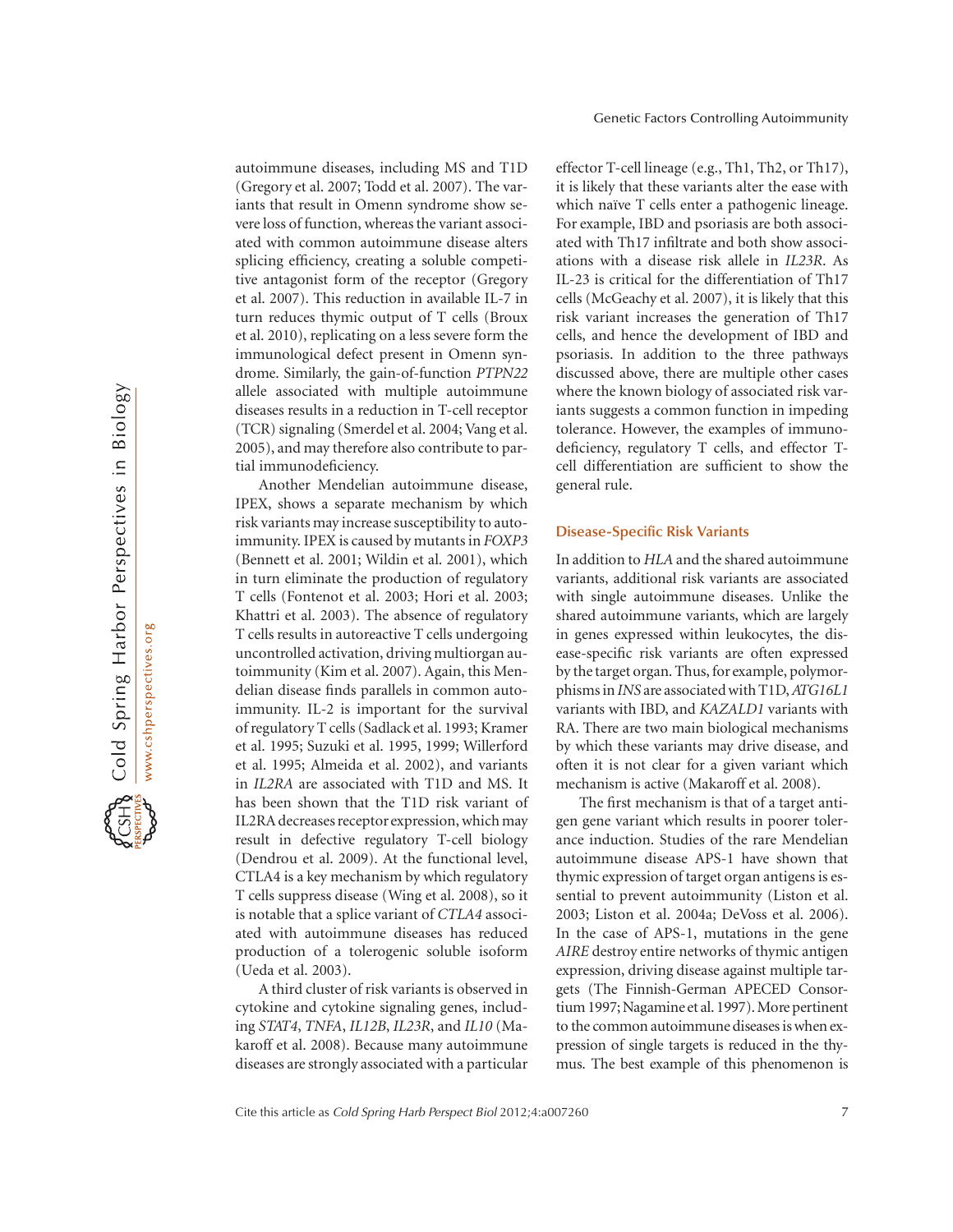autoimmune diseases, including MS and T1D (Gregory et al. 2007; Todd et al. 2007). The variants that result in Omenn syndrome show severe loss of function, whereas the variant associated with common autoimmune disease alters splicing efficiency, creating a soluble competitive antagonist form of the receptor (Gregory et al. 2007). This reduction in available IL-7 in turn reduces thymic output of T cells (Broux et al. 2010), replicating on a less severe form the immunological defect present in Omenn syndrome. Similarly, the gain-of-function PTPN22 allele associated with multiple autoimmune diseases results in a reduction in T-cell receptor (TCR) signaling (Smerdel et al. 2004; Vang et al. 2005), and may therefore also contribute to partial immunodeficiency.

Another Mendelian autoimmune disease, IPEX, shows a separate mechanism by which risk variants may increase susceptibility to autoimmunity. IPEX is caused by mutants in FOXP3 (Bennett et al. 2001; Wildin et al. 2001), which in turn eliminate the production of regulatory T cells (Fontenot et al. 2003; Hori et al. 2003; Khattri et al. 2003). The absence of regulatory T cells results in autoreactive T cells undergoing uncontrolled activation, driving multiorgan autoimmunity (Kim et al. 2007). Again, this Mendelian disease finds parallels in common autoimmunity. IL-2 is important for the survival of regulatory T cells (Sadlack et al. 1993; Kramer et al. 1995; Suzuki et al. 1995, 1999; Willerford et al. 1995; Almeida et al. 2002), and variants in IL2RA are associated with T1D and MS. It has been shown that the T1D risk variant of IL2RA decreases receptor expression, which may result in defective regulatory T-cell biology (Dendrou et al. 2009). At the functional level, CTLA4 is a key mechanism by which regulatory T cells suppress disease (Wing et al. 2008), so it is notable that a splice variant of CTLA4 associated with autoimmune diseases has reduced production of a tolerogenic soluble isoform (Ueda et al. 2003).

A third cluster of risk variants is observed in cytokine and cytokine signaling genes, including STAT4, TNFA, IL12B, IL23R, and IL10 (Makaroff et al. 2008). Because many autoimmune diseases are strongly associated with a particular

effector T-cell lineage (e.g., Th1, Th2, or Th17), it is likely that these variants alter the ease with which naïve T cells enter a pathogenic lineage. For example, IBD and psoriasis are both associated with Th17 infiltrate and both show associations with a disease risk allele in IL23R. As IL-23 is critical for the differentiation of Th17 cells (McGeachy et al. 2007), it is likely that this risk variant increases the generation of Th17 cells, and hence the development of IBD and psoriasis. In addition to the three pathways discussed above, there are multiple other cases where the known biology of associated risk variants suggests a common function in impeding tolerance. However, the examples of immunodeficiency, regulatory T cells, and effector Tcell differentiation are sufficient to show the general rule.

## Disease-Specific Risk Variants

In addition to HLA and the shared autoimmune variants, additional risk variants are associated with single autoimmune diseases. Unlike the shared autoimmune variants, which are largely in genes expressed within leukocytes, the disease-specific risk variants are often expressed by the target organ. Thus, for example, polymorphisms in INS are associated with T1D, ATG16L1 variants with IBD, and KAZALD1 variants with RA. There are two main biological mechanisms by which these variants may drive disease, and often it is not clear for a given variant which mechanism is active (Makaroff et al. 2008).

The first mechanism is that of a target antigen gene variant which results in poorer tolerance induction. Studies of the rare Mendelian autoimmune disease APS-1 have shown that thymic expression of target organ antigens is essential to prevent autoimmunity (Liston et al. 2003; Liston et al. 2004a; DeVoss et al. 2006). In the case of APS-1, mutations in the gene AIRE destroy entire networks of thymic antigen expression, driving disease against multiple targets (The Finnish-German APECED Consortium 1997; Nagamine et al. 1997). More pertinent to the common autoimmune diseases is when expression of single targets is reduced in the thymus. The best example of this phenomenon is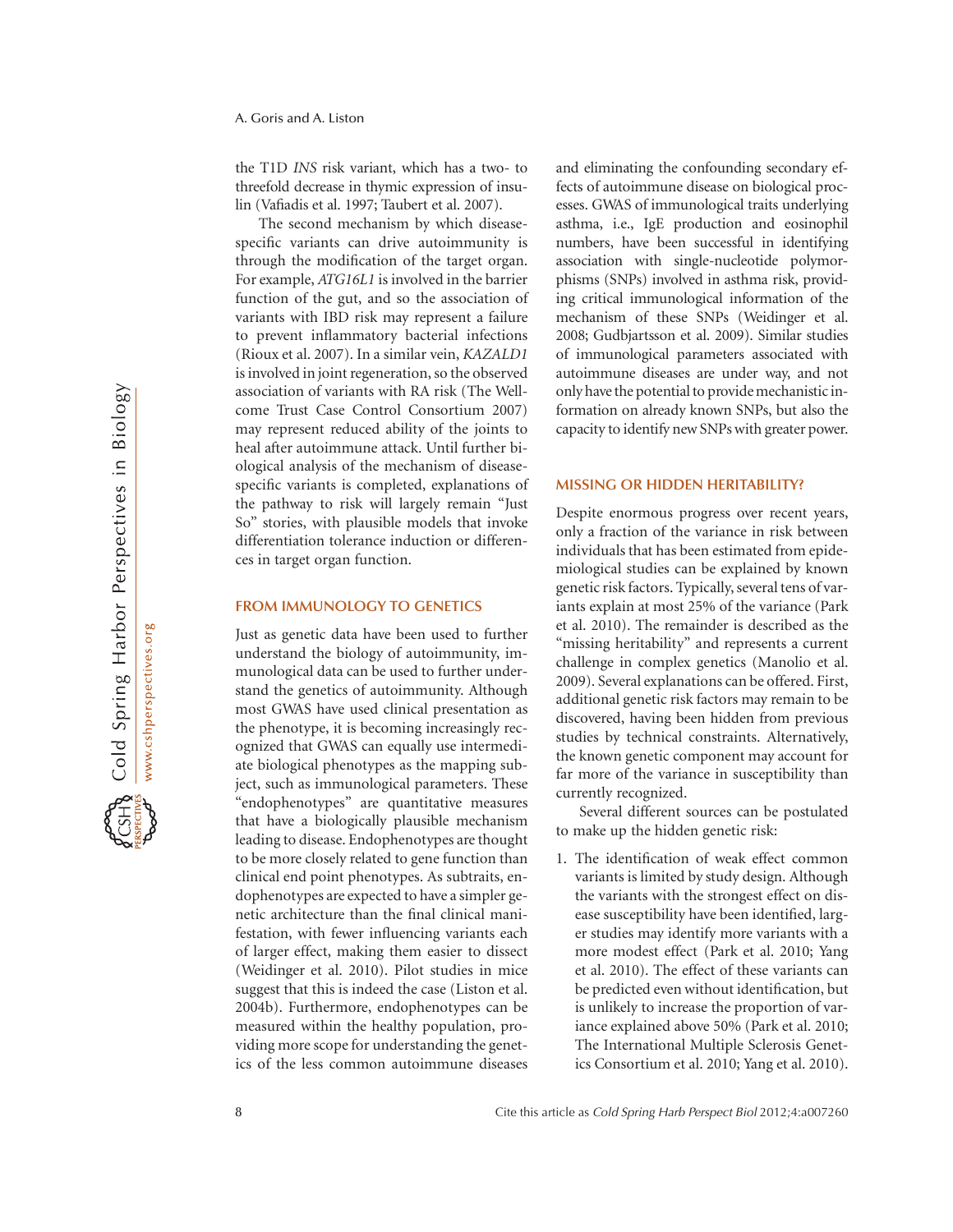the T1D INS risk variant, which has a two- to threefold decrease in thymic expression of insulin (Vafiadis et al. 1997; Taubert et al. 2007).

The second mechanism by which diseasespecific variants can drive autoimmunity is through the modification of the target organ. For example, ATG16L1 is involved in the barrier function of the gut, and so the association of variants with IBD risk may represent a failure to prevent inflammatory bacterial infections (Rioux et al. 2007). In a similar vein, KAZALD1 is involved in joint regeneration, so the observed association of variants with RA risk (The Wellcome Trust Case Control Consortium 2007) may represent reduced ability of the joints to heal after autoimmune attack. Until further biological analysis of the mechanism of diseasespecific variants is completed, explanations of the pathway to risk will largely remain "Just So" stories, with plausible models that invoke differentiation tolerance induction or differences in target organ function.

## FROM IMMUNOLOGY TO GENETICS

Just as genetic data have been used to further understand the biology of autoimmunity, immunological data can be used to further understand the genetics of autoimmunity. Although most GWAS have used clinical presentation as the phenotype, it is becoming increasingly recognized that GWAS can equally use intermediate biological phenotypes as the mapping subject, such as immunological parameters. These "endophenotypes" are quantitative measures that have a biologically plausible mechanism leading to disease. Endophenotypes are thought to be more closely related to gene function than clinical end point phenotypes. As subtraits, endophenotypes are expected to have a simpler genetic architecture than the final clinical manifestation, with fewer influencing variants each of larger effect, making them easier to dissect (Weidinger et al. 2010). Pilot studies in mice suggest that this is indeed the case (Liston et al. 2004b). Furthermore, endophenotypes can be measured within the healthy population, providing more scope for understanding the genetics of the less common autoimmune diseases and eliminating the confounding secondary effects of autoimmune disease on biological processes. GWAS of immunological traits underlying asthma, i.e., IgE production and eosinophil numbers, have been successful in identifying association with single-nucleotide polymorphisms (SNPs) involved in asthma risk, providing critical immunological information of the mechanism of these SNPs (Weidinger et al. 2008; Gudbjartsson et al. 2009). Similar studies of immunological parameters associated with autoimmune diseases are under way, and not only have the potential to providemechanisticinformation on already known SNPs, but also the capacity to identify new SNPs with greater power.

## MISSING OR HIDDEN HERITABILITY?

Despite enormous progress over recent years, only a fraction of the variance in risk between individuals that has been estimated from epidemiological studies can be explained by known genetic risk factors. Typically, several tens of variants explain at most 25% of the variance (Park et al. 2010). The remainder is described as the "missing heritability" and represents a current challenge in complex genetics (Manolio et al. 2009). Several explanations can be offered. First, additional genetic risk factors may remain to be discovered, having been hidden from previous studies by technical constraints. Alternatively, the known genetic component may account for far more of the variance in susceptibility than currently recognized.

Several different sources can be postulated to make up the hidden genetic risk:

1. The identification of weak effect common variants is limited by study design. Although the variants with the strongest effect on disease susceptibility have been identified, larger studies may identify more variants with a more modest effect (Park et al. 2010; Yang et al. 2010). The effect of these variants can be predicted even without identification, but is unlikely to increase the proportion of variance explained above 50% (Park et al. 2010; The International Multiple Sclerosis Genetics Consortium et al. 2010; Yang et al. 2010).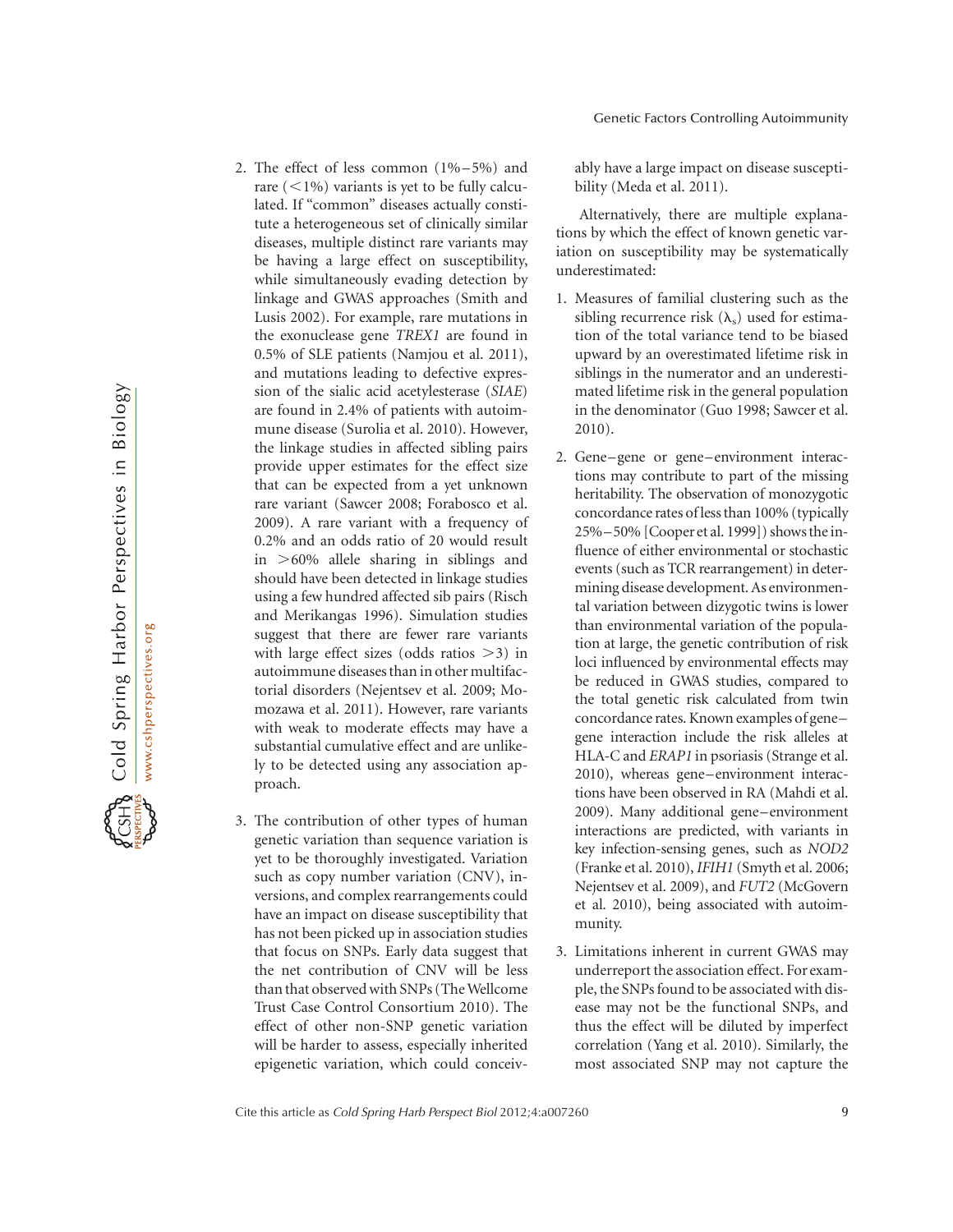- 2. The effect of less common  $(1\% 5\%)$  and rare  $(<1%)$  variants is yet to be fully calculated. If "common" diseases actually constitute a heterogeneous set of clinically similar diseases, multiple distinct rare variants may be having a large effect on susceptibility, while simultaneously evading detection by linkage and GWAS approaches (Smith and Lusis 2002). For example, rare mutations in the exonuclease gene TREX1 are found in 0.5% of SLE patients (Namjou et al. 2011), and mutations leading to defective expression of the sialic acid acetylesterase (SIAE) are found in 2.4% of patients with autoimmune disease (Surolia et al. 2010). However, the linkage studies in affected sibling pairs provide upper estimates for the effect size that can be expected from a yet unknown rare variant (Sawcer 2008; Forabosco et al. 2009). A rare variant with a frequency of 0.2% and an odds ratio of 20 would result in  $>60\%$  allele sharing in siblings and should have been detected in linkage studies using a few hundred affected sib pairs (Risch and Merikangas 1996). Simulation studies suggest that there are fewer rare variants with large effect sizes (odds ratios  $>3$ ) in autoimmune diseases than in other multifactorial disorders (Nejentsev et al. 2009; Momozawa et al. 2011). However, rare variants with weak to moderate effects may have a substantial cumulative effect and are unlikely to be detected using any association approach.
- 3. The contribution of other types of human genetic variation than sequence variation is yet to be thoroughly investigated. Variation such as copy number variation (CNV), inversions, and complex rearrangements could have an impact on disease susceptibility that has not been picked up in association studies that focus on SNPs. Early data suggest that the net contribution of CNV will be less than that observed with SNPs (TheWellcome Trust Case Control Consortium 2010). The effect of other non-SNP genetic variation will be harder to assess, especially inherited epigenetic variation, which could conceiv-

ably have a large impact on disease susceptibility (Meda et al. 2011).

Alternatively, there are multiple explanations by which the effect of known genetic variation on susceptibility may be systematically underestimated:

- 1. Measures of familial clustering such as the sibling recurrence risk  $(\lambda_s)$  used for estimation of the total variance tend to be biased upward by an overestimated lifetime risk in siblings in the numerator and an underestimated lifetime risk in the general population in the denominator (Guo 1998; Sawcer et al. 2010).
- 2. Gene–gene or gene–environment interactions may contribute to part of the missing heritability. The observation of monozygotic concordance rates of less than 100% (typically 25%–50% [Cooper et al. 1999]) shows the influence of either environmental or stochastic events (such as TCR rearrangement) in determining disease development. As environmental variation between dizygotic twins is lower than environmental variation of the population at large, the genetic contribution of risk loci influenced by environmental effects may be reduced in GWAS studies, compared to the total genetic risk calculated from twin concordance rates. Known examples of gene– gene interaction include the risk alleles at HLA-C and ERAP1 in psoriasis (Strange et al. 2010), whereas gene–environment interactions have been observed in RA (Mahdi et al. 2009). Many additional gene–environment interactions are predicted, with variants in key infection-sensing genes, such as NOD2 (Franke et al. 2010), IFIH1 (Smyth et al. 2006; Nejentsev et al. 2009), and FUT2 (McGovern et al. 2010), being associated with autoimmunity.
- 3. Limitations inherent in current GWAS may underreport the association effect. For example, the SNPs found to be associated with disease may not be the functional SNPs, and thus the effect will be diluted by imperfect correlation (Yang et al. 2010). Similarly, the most associated SNP may not capture the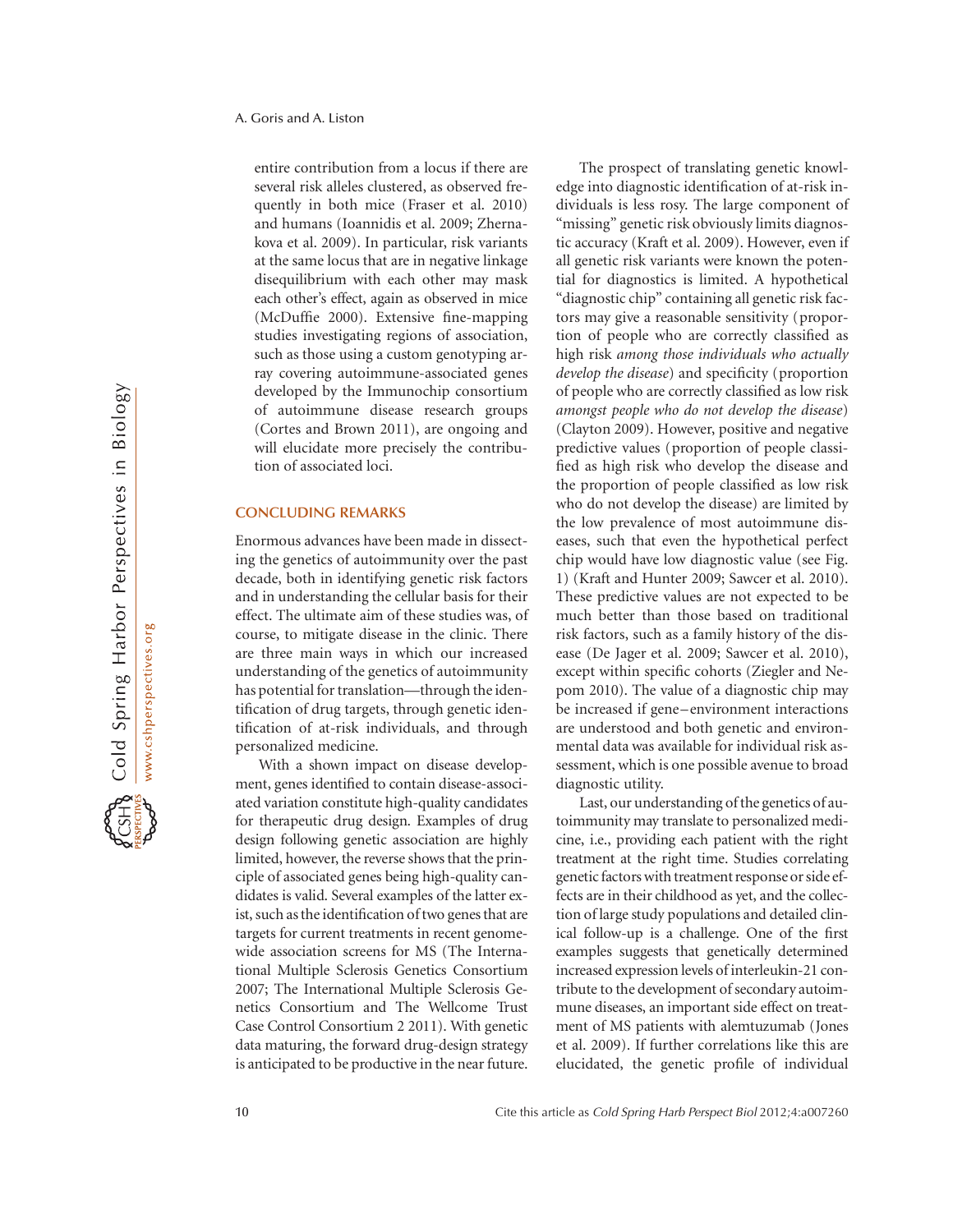entire contribution from a locus if there are several risk alleles clustered, as observed frequently in both mice (Fraser et al. 2010) and humans (Ioannidis et al. 2009; Zhernakova et al. 2009). In particular, risk variants at the same locus that are in negative linkage disequilibrium with each other may mask each other's effect, again as observed in mice (McDuffie 2000). Extensive fine-mapping studies investigating regions of association, such as those using a custom genotyping array covering autoimmune-associated genes developed by the Immunochip consortium of autoimmune disease research groups (Cortes and Brown 2011), are ongoing and will elucidate more precisely the contribution of associated loci.

## CONCLUDING REMARKS

Enormous advances have been made in dissecting the genetics of autoimmunity over the past decade, both in identifying genetic risk factors and in understanding the cellular basis for their effect. The ultimate aim of these studies was, of course, to mitigate disease in the clinic. There are three main ways in which our increased understanding of the genetics of autoimmunity has potential for translation—through the identification of drug targets, through genetic identification of at-risk individuals, and through personalized medicine.

With a shown impact on disease development, genes identified to contain disease-associated variation constitute high-quality candidates for therapeutic drug design. Examples of drug design following genetic association are highly limited, however, the reverse shows that the principle of associated genes being high-quality candidates is valid. Several examples of the latter exist, such as the identification of two genes that are targets for current treatments in recent genomewide association screens for MS (The International Multiple Sclerosis Genetics Consortium 2007; The International Multiple Sclerosis Genetics Consortium and The Wellcome Trust Case Control Consortium 2 2011). With genetic data maturing, the forward drug-design strategy is anticipated to be productive in the near future.

The prospect of translating genetic knowledge into diagnostic identification of at-risk individuals is less rosy. The large component of "missing" genetic risk obviously limits diagnostic accuracy (Kraft et al. 2009). However, even if all genetic risk variants were known the potential for diagnostics is limited. A hypothetical "diagnostic chip" containing all genetic risk factors may give a reasonable sensitivity (proportion of people who are correctly classified as high risk among those individuals who actually develop the disease) and specificity (proportion of people who are correctly classified as low risk amongst people who do not develop the disease) (Clayton 2009). However, positive and negative predictive values (proportion of people classified as high risk who develop the disease and the proportion of people classified as low risk who do not develop the disease) are limited by the low prevalence of most autoimmune diseases, such that even the hypothetical perfect chip would have low diagnostic value (see Fig. 1) (Kraft and Hunter 2009; Sawcer et al. 2010). These predictive values are not expected to be much better than those based on traditional risk factors, such as a family history of the disease (De Jager et al. 2009; Sawcer et al. 2010), except within specific cohorts (Ziegler and Nepom 2010). The value of a diagnostic chip may be increased if gene –environment interactions are understood and both genetic and environmental data was available for individual risk assessment, which is one possible avenue to broad diagnostic utility.

Last, our understanding of the genetics of autoimmunity may translate to personalized medicine, i.e., providing each patient with the right treatment at the right time. Studies correlating genetic factors with treatment response or side effects are in their childhood as yet, and the collection of large study populations and detailed clinical follow-up is a challenge. One of the first examples suggests that genetically determined increased expression levels of interleukin-21 contribute to the development of secondary autoimmune diseases, an important side effect on treatment of MS patients with alemtuzumab (Jones et al. 2009). If further correlations like this are elucidated, the genetic profile of individual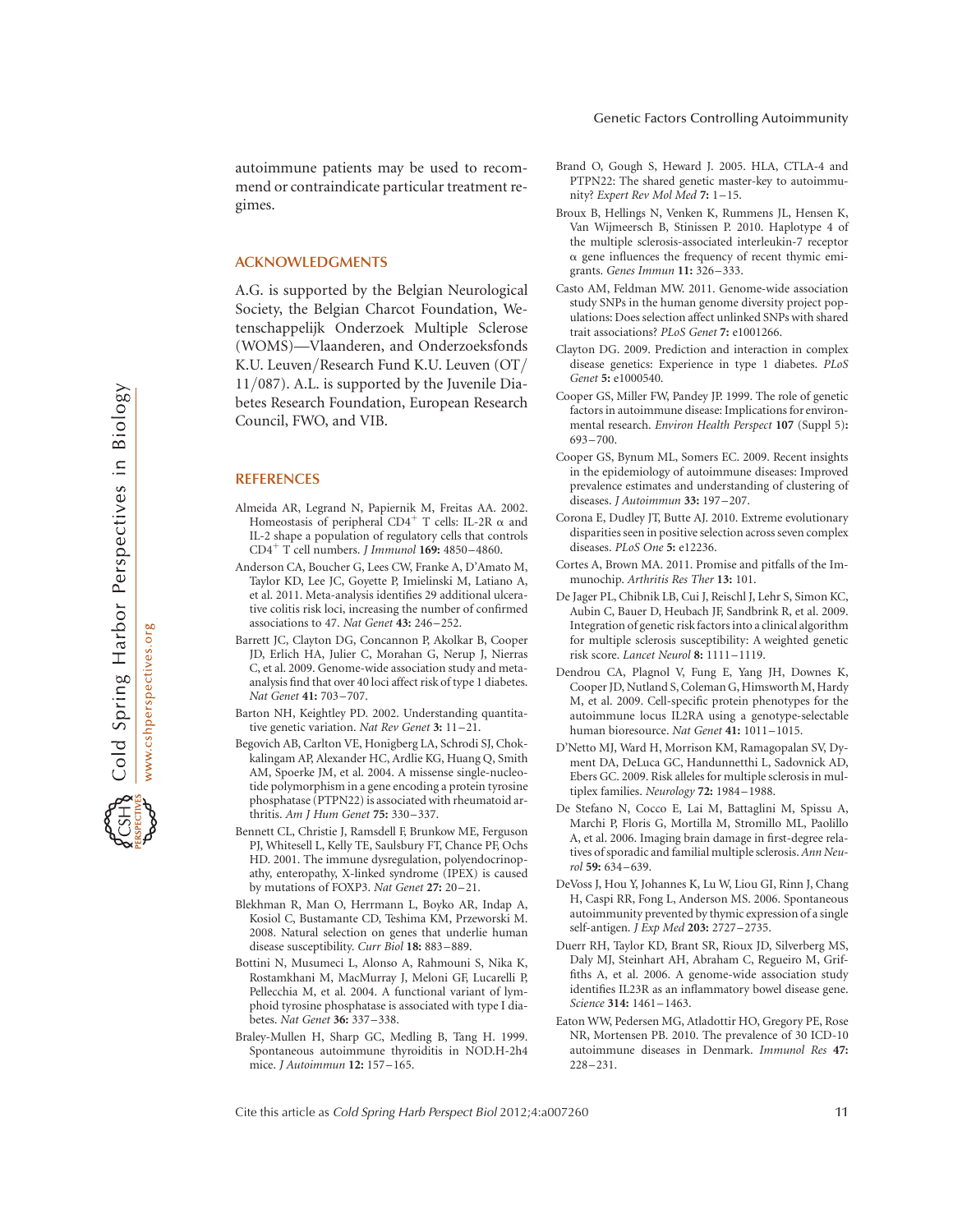www.cshperspectives.org

autoimmune patients may be used to recommend or contraindicate particular treatment regimes.

#### ACKNOWLEDGMENTS

A.G. is supported by the Belgian Neurological Society, the Belgian Charcot Foundation, Wetenschappelijk Onderzoek Multiple Sclerose (WOMS)—Vlaanderen, and Onderzoeksfonds K.U. Leuven/Research Fund K.U. Leuven (OT/ 11/087). A.L. is supported by the Juvenile Diabetes Research Foundation, European Research Council, FWO, and VIB.

#### REFERENCES

- Almeida AR, Legrand N, Papiernik M, Freitas AA. 2002. Homeostasis of peripheral CD4<sup>+</sup> T cells: IL-2R  $\alpha$  and IL-2 shape a population of regulatory cells that controls CD4<sup>+</sup> T cell numbers. *J Immunol* **169:** 4850-4860.
- Anderson CA, Boucher G, Lees CW, Franke A, D'Amato M, Taylor KD, Lee JC, Goyette P, Imielinski M, Latiano A, et al. 2011. Meta-analysis identifies 29 additional ulcerative colitis risk loci, increasing the number of confirmed associations to 47. Nat Genet 43: 246–252.
- Barrett JC, Clayton DG, Concannon P, Akolkar B, Cooper JD, Erlich HA, Julier C, Morahan G, Nerup J, Nierras C, et al. 2009. Genome-wide association study and metaanalysis find that over 40 loci affect risk of type 1 diabetes. Nat Genet 41: 703–707.
- Barton NH, Keightley PD. 2002. Understanding quantitative genetic variation. Nat Rev Genet 3: 11–21.
- Begovich AB, Carlton VE, Honigberg LA, Schrodi SJ, Chokkalingam AP, Alexander HC, Ardlie KG, Huang Q, Smith AM, Spoerke JM, et al. 2004. A missense single-nucleotide polymorphism in a gene encoding a protein tyrosine phosphatase (PTPN22) is associated with rheumatoid arthritis. Am J Hum Genet 75: 330-337.
- Bennett CL, Christie J, Ramsdell F, Brunkow ME, Ferguson PJ, Whitesell L, Kelly TE, Saulsbury FT, Chance PF, Ochs HD. 2001. The immune dysregulation, polyendocrinopathy, enteropathy, X-linked syndrome (IPEX) is caused by mutations of FOXP3. Nat Genet 27: 20–21.
- Blekhman R, Man O, Herrmann L, Boyko AR, Indap A, Kosiol C, Bustamante CD, Teshima KM, Przeworski M. 2008. Natural selection on genes that underlie human disease susceptibility. Curr Biol 18: 883–889.
- Bottini N, Musumeci L, Alonso A, Rahmouni S, Nika K, Rostamkhani M, MacMurray J, Meloni GF, Lucarelli P, Pellecchia M, et al. 2004. A functional variant of lymphoid tyrosine phosphatase is associated with type I diabetes. Nat Genet 36: 337–338.
- Braley-Mullen H, Sharp GC, Medling B, Tang H. 1999. Spontaneous autoimmune thyroiditis in NOD.H-2h4 mice. J Autoimmun 12: 157 –165.
- Brand O, Gough S, Heward J. 2005. HLA, CTLA-4 and PTPN22: The shared genetic master-key to autoimmunity? Expert Rev Mol Med 7: 1 –15.
- Broux B, Hellings N, Venken K, Rummens JL, Hensen K, Van Wijmeersch B, Stinissen P. 2010. Haplotype 4 of the multiple sclerosis-associated interleukin-7 receptor a gene influences the frequency of recent thymic emigrants. Genes Immun 11: 326–333.
- Casto AM, Feldman MW. 2011. Genome-wide association study SNPs in the human genome diversity project populations: Does selection affect unlinked SNPs with shared trait associations? PLoS Genet 7: e1001266.
- Clayton DG. 2009. Prediction and interaction in complex disease genetics: Experience in type 1 diabetes. PLoS Genet 5: e1000540.
- Cooper GS, Miller FW, Pandey JP. 1999. The role of genetic factors in autoimmune disease: Implications for environmental research. Environ Health Perspect 107 (Suppl 5): 693 –700.
- Cooper GS, Bynum ML, Somers EC. 2009. Recent insights in the epidemiology of autoimmune diseases: Improved prevalence estimates and understanding of clustering of diseases. J Autoimmun 33: 197 –207.
- Corona E, Dudley JT, Butte AJ. 2010. Extreme evolutionary disparities seen in positive selection across seven complex diseases. PLoS One 5: e12236.
- Cortes A, Brown MA. 2011. Promise and pitfalls of the Immunochip. Arthritis Res Ther 13: 101.
- De Jager PL, Chibnik LB, Cui J, Reischl J, Lehr S, Simon KC, Aubin C, Bauer D, Heubach JF, Sandbrink R, et al. 2009. Integration of genetic risk factors into a clinical algorithm for multiple sclerosis susceptibility: A weighted genetic risk score. Lancet Neurol 8: 1111–1119.
- Dendrou CA, Plagnol V, Fung E, Yang JH, Downes K, Cooper JD, Nutland S, Coleman G, Himsworth M, Hardy M, et al. 2009. Cell-specific protein phenotypes for the autoimmune locus IL2RA using a genotype-selectable human bioresource. Nat Genet 41: 1011–1015.
- D'Netto MJ, Ward H, Morrison KM, Ramagopalan SV, Dyment DA, DeLuca GC, Handunnetthi L, Sadovnick AD, Ebers GC. 2009. Risk alleles for multiple sclerosis in multiplex families. Neurology 72: 1984–1988.
- De Stefano N, Cocco E, Lai M, Battaglini M, Spissu A, Marchi P, Floris G, Mortilla M, Stromillo ML, Paolillo A, et al. 2006. Imaging brain damage in first-degree relatives of sporadic and familial multiple sclerosis. Ann Neurol 59: 634–639.
- DeVoss J, Hou Y, Johannes K, Lu W, Liou GI, Rinn J, Chang H, Caspi RR, Fong L, Anderson MS. 2006. Spontaneous autoimmunity prevented by thymic expression of a single self-antigen. J Exp Med 203: 2727–2735.
- Duerr RH, Taylor KD, Brant SR, Rioux JD, Silverberg MS, Daly MJ, Steinhart AH, Abraham C, Regueiro M, Griffiths A, et al. 2006. A genome-wide association study identifies IL23R as an inflammatory bowel disease gene. Science 314: 1461–1463.
- Eaton WW, Pedersen MG, Atladottir HO, Gregory PE, Rose NR, Mortensen PB. 2010. The prevalence of 30 ICD-10 autoimmune diseases in Denmark. Immunol Res 47: 228 –231.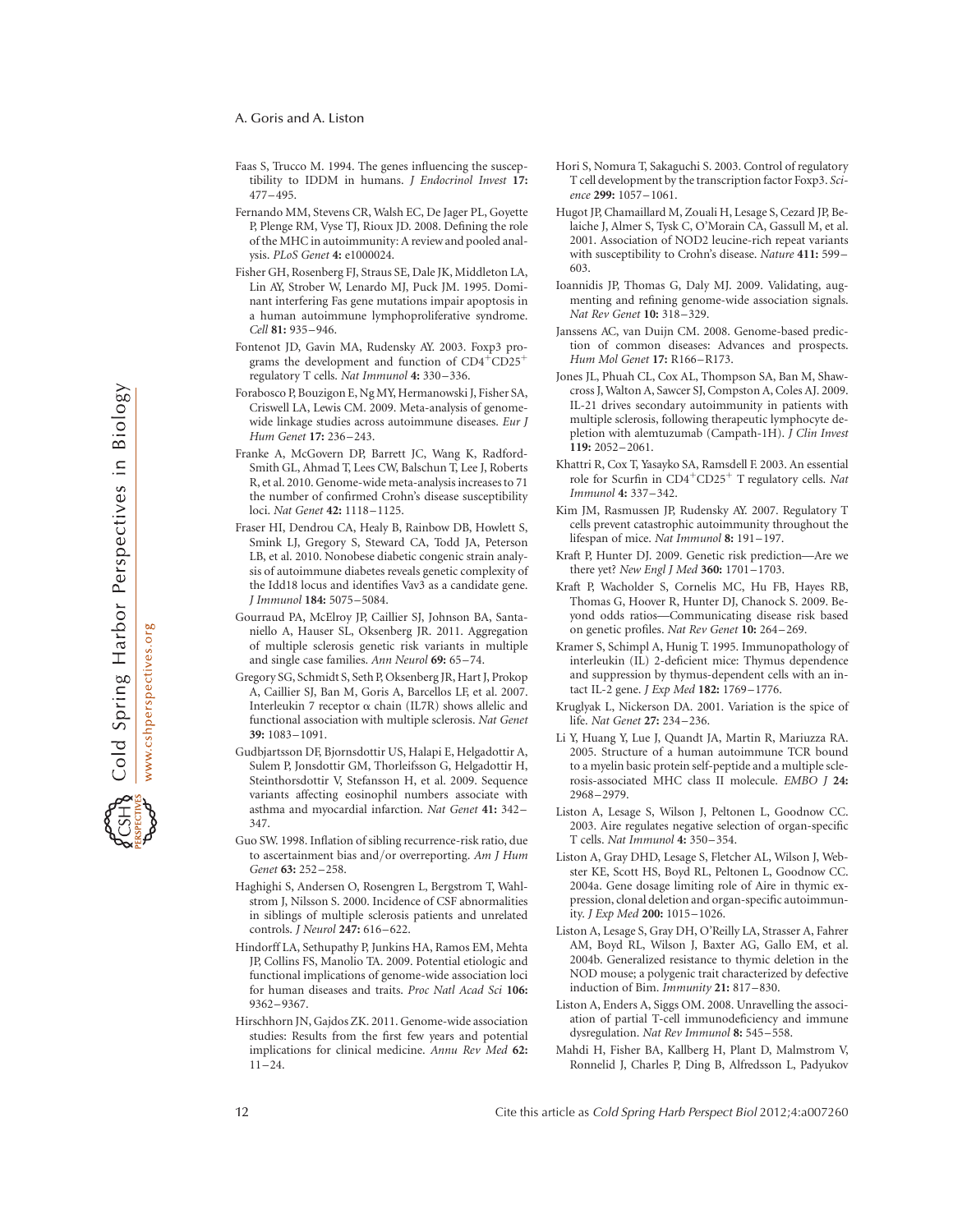#### A. Goris and A. Liston

- Faas S, Trucco M. 1994. The genes influencing the susceptibility to IDDM in humans. J Endocrinol Invest 17: 477–495.
- Fernando MM, Stevens CR, Walsh EC, De Jager PL, Goyette P, Plenge RM, Vyse TJ, Rioux JD. 2008. Defining the role of the MHC in autoimmunity: A review and pooled analysis. PLoS Genet 4: e1000024.
- Fisher GH, Rosenberg FJ, Straus SE, Dale JK, Middleton LA, Lin AY, Strober W, Lenardo MJ, Puck JM. 1995. Dominant interfering Fas gene mutations impair apoptosis in a human autoimmune lymphoproliferative syndrome. Cell 81: 935–946.
- Fontenot JD, Gavin MA, Rudensky AY. 2003. Foxp3 programs the development and function of  $CD4^+CD25^+$ regulatory T cells. Nat Immunol 4: 330-336.
- Forabosco P, Bouzigon E, Ng MY, Hermanowski J, Fisher SA, Criswell LA, Lewis CM. 2009. Meta-analysis of genomewide linkage studies across autoimmune diseases. Eur J Hum Genet 17: 236–243.
- Franke A, McGovern DP, Barrett JC, Wang K, Radford-Smith GL, Ahmad T, Lees CW, Balschun T, Lee J, Roberts R, et al. 2010. Genome-wide meta-analysis increases to 71 the number of confirmed Crohn's disease susceptibility loci. Nat Genet 42: 1118–1125.
- Fraser HI, Dendrou CA, Healy B, Rainbow DB, Howlett S, Smink LJ, Gregory S, Steward CA, Todd JA, Peterson LB, et al. 2010. Nonobese diabetic congenic strain analysis of autoimmune diabetes reveals genetic complexity of the Idd18 locus and identifies Vav3 as a candidate gene. J Immunol 184: 5075–5084.
- Gourraud PA, McElroy JP, Caillier SJ, Johnson BA, Santaniello A, Hauser SL, Oksenberg JR. 2011. Aggregation of multiple sclerosis genetic risk variants in multiple and single case families. Ann Neurol 69: 65–74.
- Gregory SG, Schmidt S, Seth P, Oksenberg JR, Hart J, Prokop A, Caillier SJ, Ban M, Goris A, Barcellos LF, et al. 2007. Interleukin 7 receptor  $\alpha$  chain (IL7R) shows allelic and functional association with multiple sclerosis. Nat Genet 39: 1083–1091.
- Gudbjartsson DF, Bjornsdottir US, Halapi E, Helgadottir A, Sulem P, Jonsdottir GM, Thorleifsson G, Helgadottir H, Steinthorsdottir V, Stefansson H, et al. 2009. Sequence variants affecting eosinophil numbers associate with asthma and myocardial infarction. Nat Genet 41: 342– 347.
- Guo SW. 1998. Inflation of sibling recurrence-risk ratio, due to ascertainment bias and/or overreporting. Am J Hum Genet 63: 252-258.
- Haghighi S, Andersen O, Rosengren L, Bergstrom T, Wahlstrom J, Nilsson S. 2000. Incidence of CSF abnormalities in siblings of multiple sclerosis patients and unrelated controls. J Neurol 247: 616–622.
- Hindorff LA, Sethupathy P, Junkins HA, Ramos EM, Mehta JP, Collins FS, Manolio TA. 2009. Potential etiologic and functional implications of genome-wide association loci for human diseases and traits. Proc Natl Acad Sci 106: 9362–9367.
- Hirschhorn JN, Gajdos ZK. 2011. Genome-wide association studies: Results from the first few years and potential implications for clinical medicine. Annu Rev Med 62: 11–24.
- Hori S, Nomura T, Sakaguchi S. 2003. Control of regulatory T cell development by the transcription factor Foxp3. Science 299: 1057–1061.
- Hugot JP, Chamaillard M, Zouali H, Lesage S, Cezard JP, Belaiche J, Almer S, Tysk C, O'Morain CA, Gassull M, et al. 2001. Association of NOD2 leucine-rich repeat variants with susceptibility to Crohn's disease. Nature 411: 599– 603.
- Ioannidis JP, Thomas G, Daly MJ. 2009. Validating, augmenting and refining genome-wide association signals. Nat Rev Genet 10: 318–329.
- Janssens AC, van Duijn CM. 2008. Genome-based prediction of common diseases: Advances and prospects. Hum Mol Genet 17: R166–R173.
- Jones JL, Phuah CL, Cox AL, Thompson SA, Ban M, Shawcross J, Walton A, Sawcer SJ, Compston A, Coles AJ. 2009. IL-21 drives secondary autoimmunity in patients with multiple sclerosis, following therapeutic lymphocyte depletion with alemtuzumab (Campath-1H). J Clin Invest 119: 2052–2061.
- Khattri R, Cox T, Yasayko SA, Ramsdell F. 2003. An essential role for Scurfin in  $CD4^+CD25^+$  T regulatory cells. Nat Immunol 4: 337–342.
- Kim JM, Rasmussen JP, Rudensky AY. 2007. Regulatory T cells prevent catastrophic autoimmunity throughout the lifespan of mice. Nat Immunol 8: 191-197.
- Kraft P, Hunter DJ. 2009. Genetic risk prediction—Are we there yet? New Engl J Med 360: 1701-1703.
- Kraft P, Wacholder S, Cornelis MC, Hu FB, Hayes RB, Thomas G, Hoover R, Hunter DJ, Chanock S. 2009. Beyond odds ratios—Communicating disease risk based on genetic profiles. Nat Rev Genet 10: 264–269.
- Kramer S, Schimpl A, Hunig T. 1995. Immunopathology of interleukin (IL) 2-deficient mice: Thymus dependence and suppression by thymus-dependent cells with an intact IL-2 gene. J Exp Med 182: 1769–1776.
- Kruglyak L, Nickerson DA. 2001. Variation is the spice of life. Nat Genet 27: 234–236.
- Li Y, Huang Y, Lue J, Quandt JA, Martin R, Mariuzza RA. 2005. Structure of a human autoimmune TCR bound to a myelin basic protein self-peptide and a multiple sclerosis-associated MHC class II molecule. EMBO J 24: 2968–2979.
- Liston A, Lesage S, Wilson J, Peltonen L, Goodnow CC. 2003. Aire regulates negative selection of organ-specific T cells. Nat Immunol 4: 350–354.
- Liston A, Gray DHD, Lesage S, Fletcher AL, Wilson J, Webster KE, Scott HS, Boyd RL, Peltonen L, Goodnow CC. 2004a. Gene dosage limiting role of Aire in thymic expression, clonal deletion and organ-specific autoimmunity. J Exp Med 200: 1015–1026.
- Liston A, Lesage S, Gray DH, O'Reilly LA, Strasser A, Fahrer AM, Boyd RL, Wilson J, Baxter AG, Gallo EM, et al. 2004b. Generalized resistance to thymic deletion in the NOD mouse; a polygenic trait characterized by defective induction of Bim. Immunity 21: 817-830.
- Liston A, Enders A, Siggs OM. 2008. Unravelling the association of partial T-cell immunodeficiency and immune dysregulation. Nat Rev Immunol 8: 545-558.
- Mahdi H, Fisher BA, Kallberg H, Plant D, Malmstrom V, Ronnelid J, Charles P, Ding B, Alfredsson L, Padyukov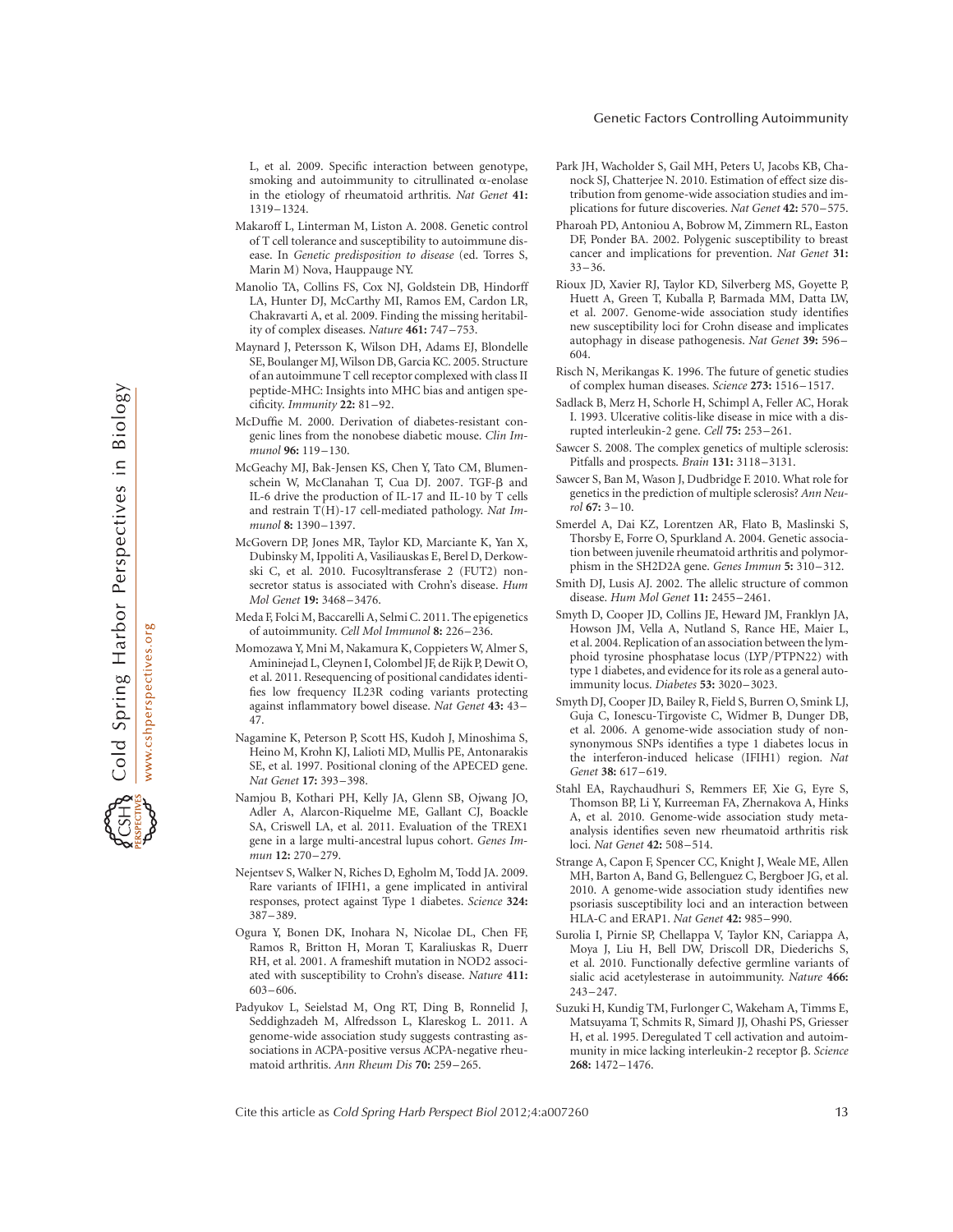L, et al. 2009. Specific interaction between genotype, smoking and autoimmunity to citrullinated  $\alpha$ -enolase in the etiology of rheumatoid arthritis. Nat Genet 41: 1319–1324.

- Makaroff L, Linterman M, Liston A. 2008. Genetic control of T cell tolerance and susceptibility to autoimmune disease. In Genetic predisposition to disease (ed. Torres S, Marin M) Nova, Hauppauge NY.
- Manolio TA, Collins FS, Cox NJ, Goldstein DB, Hindorff LA, Hunter DJ, McCarthy MI, Ramos EM, Cardon LR, Chakravarti A, et al. 2009. Finding the missing heritability of complex diseases. Nature 461: 747 –753.
- Maynard J, Petersson K, Wilson DH, Adams EJ, Blondelle SE, Boulanger MJ, Wilson DB, Garcia KC. 2005. Structure of an autoimmune T cell receptor complexed with class II peptide-MHC: Insights into MHC bias and antigen specificity. Immunity 22: 81-92.
- McDuffie M. 2000. Derivation of diabetes-resistant congenic lines from the nonobese diabetic mouse. Clin Immunol **96:** 119–130.
- McGeachy MJ, Bak-Jensen KS, Chen Y, Tato CM, Blumenschein W, McClanahan T, Cua DJ. 2007. TGF- $\beta$  and IL-6 drive the production of IL-17 and IL-10 by T cells and restrain T(H)-17 cell-mediated pathology. Nat Immunol 8: 1390–1397.
- McGovern DP, Jones MR, Taylor KD, Marciante K, Yan X, Dubinsky M, Ippoliti A, Vasiliauskas E, Berel D, Derkowski C, et al. 2010. Fucosyltransferase 2 (FUT2) nonsecretor status is associated with Crohn's disease. Hum Mol Genet 19: 3468–3476.
- Meda F, Folci M, Baccarelli A, Selmi C. 2011. The epigenetics of autoimmunity. Cell Mol Immunol 8: 226–236.
- Momozawa Y, Mni M, Nakamura K, Coppieters W, Almer S, Amininejad L, Cleynen I, Colombel JF, de Rijk P, Dewit O, et al. 2011. Resequencing of positional candidates identifies low frequency IL23R coding variants protecting against inflammatory bowel disease. Nat Genet 43: 43– 47.
- Nagamine K, Peterson P, Scott HS, Kudoh J, Minoshima S, Heino M, Krohn KJ, Lalioti MD, Mullis PE, Antonarakis SE, et al. 1997. Positional cloning of the APECED gene. Nat Genet 17: 393–398.
- Namjou B, Kothari PH, Kelly JA, Glenn SB, Ojwang JO, Adler A, Alarcon-Riquelme ME, Gallant CJ, Boackle SA, Criswell LA, et al. 2011. Evaluation of the TREX1 gene in a large multi-ancestral lupus cohort. Genes Immun 12: 270-279.
- Nejentsev S, Walker N, Riches D, Egholm M, Todd JA. 2009. Rare variants of IFIH1, a gene implicated in antiviral responses, protect against Type 1 diabetes. Science 324: 387–389.
- Ogura Y, Bonen DK, Inohara N, Nicolae DL, Chen FF, Ramos R, Britton H, Moran T, Karaliuskas R, Duerr RH, et al. 2001. A frameshift mutation in NOD2 associated with susceptibility to Crohn's disease. Nature 411: 603–606.
- Padyukov L, Seielstad M, Ong RT, Ding B, Ronnelid J, Seddighzadeh M, Alfredsson L, Klareskog L. 2011. A genome-wide association study suggests contrasting associations in ACPA-positive versus ACPA-negative rheumatoid arthritis. Ann Rheum Dis 70: 259–265.
- Park JH, Wacholder S, Gail MH, Peters U, Jacobs KB, Chanock SJ, Chatterjee N. 2010. Estimation of effect size distribution from genome-wide association studies and implications for future discoveries. Nat Genet 42: 570–575.
- Pharoah PD, Antoniou A, Bobrow M, Zimmern RL, Easton DF, Ponder BA. 2002. Polygenic susceptibility to breast cancer and implications for prevention. Nat Genet 31: 33–36.
- Rioux JD, Xavier RJ, Taylor KD, Silverberg MS, Goyette P, Huett A, Green T, Kuballa P, Barmada MM, Datta LW, et al. 2007. Genome-wide association study identifies new susceptibility loci for Crohn disease and implicates autophagy in disease pathogenesis. Nat Genet 39: 596– 604.
- Risch N, Merikangas K. 1996. The future of genetic studies of complex human diseases. Science 273: 1516–1517.
- Sadlack B, Merz H, Schorle H, Schimpl A, Feller AC, Horak I. 1993. Ulcerative colitis-like disease in mice with a disrupted interleukin-2 gene. Cell 75: 253–261.
- Sawcer S. 2008. The complex genetics of multiple sclerosis: Pitfalls and prospects. Brain 131: 3118–3131.
- Sawcer S, Ban M, Wason J, Dudbridge F. 2010. What role for genetics in the prediction of multiple sclerosis? Ann Neurol 67: 3–10.
- Smerdel A, Dai KZ, Lorentzen AR, Flato B, Maslinski S, Thorsby E, Forre O, Spurkland A. 2004. Genetic association between juvenile rheumatoid arthritis and polymorphism in the SH2D2A gene. Genes Immun 5: 310–312.
- Smith DJ, Lusis AJ. 2002. The allelic structure of common disease. Hum Mol Genet 11: 2455–2461.
- Smyth D, Cooper JD, Collins JE, Heward JM, Franklyn JA, Howson JM, Vella A, Nutland S, Rance HE, Maier L, et al. 2004. Replication of an association between the lymphoid tyrosine phosphatase locus (LYP/PTPN22) with type 1 diabetes, and evidence for its role as a general autoimmunity locus. Diabetes 53: 3020–3023.
- Smyth DJ, Cooper JD, Bailey R, Field S, Burren O, Smink LJ, Guja C, Ionescu-Tirgoviste C, Widmer B, Dunger DB, et al. 2006. A genome-wide association study of nonsynonymous SNPs identifies a type 1 diabetes locus in the interferon-induced helicase (IFIH1) region. Nat Genet 38: 617–619.
- Stahl EA, Raychaudhuri S, Remmers EF, Xie G, Eyre S, Thomson BP, Li Y, Kurreeman FA, Zhernakova A, Hinks A, et al. 2010. Genome-wide association study metaanalysis identifies seven new rheumatoid arthritis risk loci. Nat Genet 42: 508–514.
- Strange A, Capon F, Spencer CC, Knight J, Weale ME, Allen MH, Barton A, Band G, Bellenguez C, Bergboer JG, et al. 2010. A genome-wide association study identifies new psoriasis susceptibility loci and an interaction between HLA-C and ERAP1. Nat Genet 42: 985–990.
- Surolia I, Pirnie SP, Chellappa V, Taylor KN, Cariappa A, Moya J, Liu H, Bell DW, Driscoll DR, Diederichs S, et al. 2010. Functionally defective germline variants of sialic acid acetylesterase in autoimmunity. Nature 466:  $243 - 247$
- Suzuki H, Kundig TM, Furlonger C, Wakeham A, Timms E, Matsuyama T, Schmits R, Simard JJ, Ohashi PS, Griesser H, et al. 1995. Deregulated T cell activation and autoimmunity in mice lacking interleukin-2 receptor  $\beta$ . Science 268: 1472–1476.